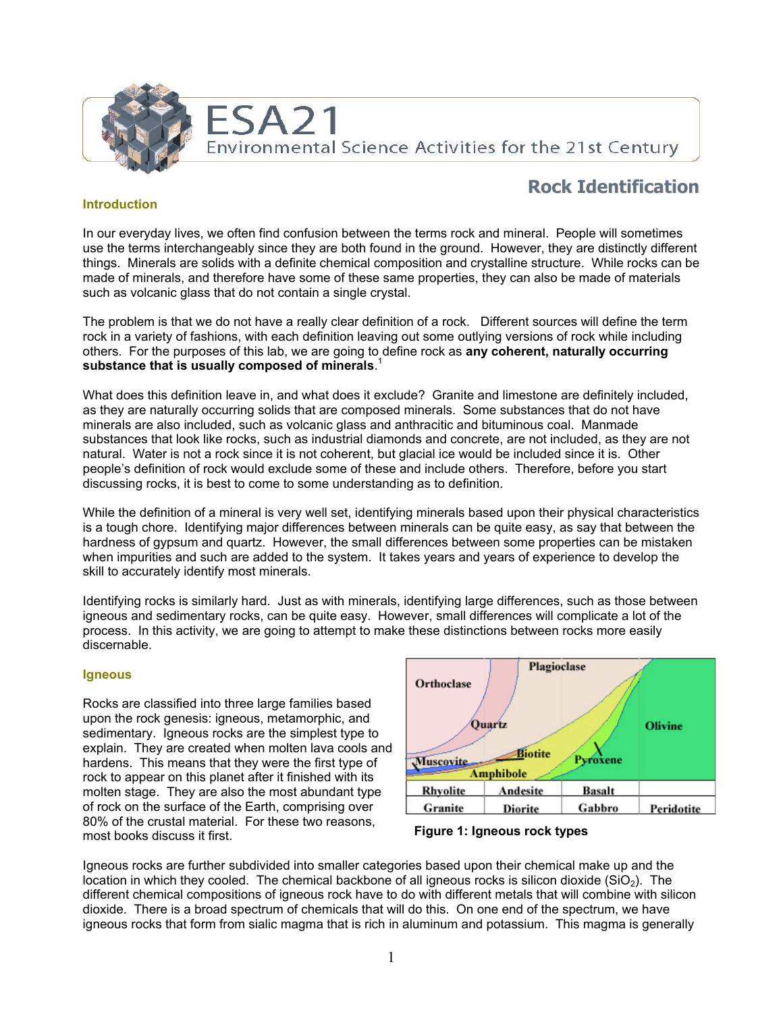

# **Rock Identification**

# **Introduction**

In our everyday lives, we often find confusion between the terms rock and mineral. People will sometimes use the terms interchangeably since they are both found in the ground. However, they are distinctly different things. Minerals are solids with a definite chemical composition and crystalline structure. While rocks can be made of minerals, and therefore have some of these same properties, they can also be made of materials such as volcanic glass that do not contain a single crystal.

The problem is that we do not have a really clear definition of a rock. Different sources will define the term rock in a variety of fashions, with each definition leaving out some outlying versions of rock while including others. For the purposes of this lab, we are going to define rock as **any coherent, naturally occurring substance that is usually composed of minerals**. 1

What does this definition leave in, and what does it exclude? Granite and limestone are definitely included, as they are naturally occurring solids that are composed minerals. Some substances that do not have minerals are also included, such as volcanic glass and anthracitic and bituminous coal. Manmade substances that look like rocks, such as industrial diamonds and concrete, are not included, as they are not natural. Water is not a rock since it is not coherent, but glacial ice would be included since it is. Other people's definition of rock would exclude some of these and include others. Therefore, before you start discussing rocks, it is best to come to some understanding as to definition.

While the definition of a mineral is very well set, identifying minerals based upon their physical characteristics is a tough chore. Identifying major differences between minerals can be quite easy, as say that between the hardness of gypsum and quartz. However, the small differences between some properties can be mistaken when impurities and such are added to the system. It takes years and years of experience to develop the skill to accurately identify most minerals.

Identifying rocks is similarly hard. Just as with minerals, identifying large differences, such as those between igneous and sedimentary rocks, can be quite easy. However, small differences will complicate a lot of the process. In this activity, we are going to attempt to make these distinctions between rocks more easily discernable.

#### **Igneous**

Rocks are classified into three large families based upon the rock genesis: igneous, metamorphic, and sedimentary. Igneous rocks are the simplest type to explain. They are created when molten lava cools and hardens. This means that they were the first type of rock to appear on this planet after it finished with its molten stage. They are also the most abundant type of rock on the surface of the Earth, comprising over 80% of the crustal material. For these two reasons, most books discuss it first.



**Figure 1: Igneous rock types** 

Igneous rocks are further subdivided into smaller categories based upon their chemical make up and the location in which they cooled. The chemical backbone of all igneous rocks is silicon dioxide ( $SiO<sub>2</sub>$ ). The different chemical compositions of igneous rock have to do with different metals that will combine with silicon dioxide. There is a broad spectrum of chemicals that will do this. On one end of the spectrum, we have igneous rocks that form from sialic magma that is rich in aluminum and potassium. This magma is generally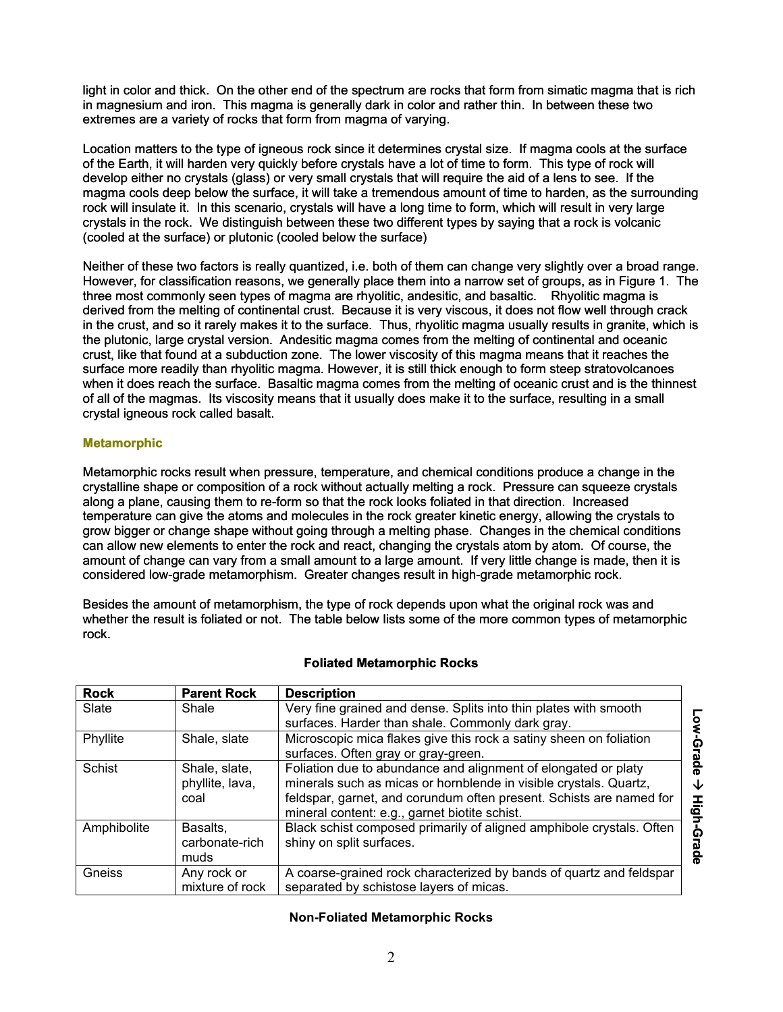light in color and thick. On the other end of the spectrum are rocks that form from simatic magma that is rich in magnesium and iron. This magma is generally dark in color and rather thin. In between these two extremes are a variety of rocks that form from magma of varying.

Location matters to the type of igneous rock since it determines crystal size. If magma cools at the surface of the Earth, it will harden very quickly before crystals have a lot of time to form. This type of rock will develop either no crystals (glass) or very small crystals that will require the aid of a lens to see. If the magma cools deep below the surface, it will take a tremendous amount of time to harden, as the surrounding rock will insulate it. In this scenario, crystals will have a long time to form, which will result in very large crystals in the rock. We distinguish between these two different types by saying that a rock is volcanic (cooled at the surface) or plutonic (cooled below the surface)

Neither of these two factors is really quantized, i.e. both of them can change very slightly over a broad range. However, for classification reasons, we generally place them into a narrow set of groups, as in Figure 1. The three most commonly seen types of magma are rhyolitic, andesitic, and basaltic. Rhyolitic magma is derived from the melting of continental crust. Because it is very viscous, it does not flow well through crack in the crust, and so it rarely makes it to the surface. Thus, rhyolitic magma usually results in granite, which is the plutonic, large crystal version. Andesitic magma comes from the melting of continental and oceanic crust, like that found at a subduction zone. The lower viscosity of this magma means that it reaches the surface more readily than rhyolitic magma. However, it is still thick enough to form steep stratovolcanoes when it does reach the surface. Basaltic magma comes from the melting of oceanic crust and is the thinnest of all of the magmas. Its viscosity means that it usually does make it to the surface, resulting in a small crystal igneous rock called basalt.

# **Metamorphic**

Metamorphic rocks result when pressure, temperature, and chemical conditions produce a change in the crystalline shape or composition of a rock without actually melting a rock. Pressure can squeeze crystals along a plane, causing them to re-form so that the rock looks foliated in that direction. Increased temperature can give the atoms and molecules in the rock greater kinetic energy, allowing the crystals to grow bigger or change shape without going through a melting phase. Changes in the chemical conditions can allow new elements to enter the rock and react, changing the crystals atom by atom. Of course, the amount of change can vary from a small amount to a large amount. If very little change is made, then it is considered low-grade metamorphism. Greater changes result in high-grade metamorphic rock.

Besides the amount of metamorphism, the type of rock depends upon what the original rock was and whether the result is foliated or not. The table below lists some of the more common types of metamorphic rock.

| <b>Rock</b>    | <b>Parent Rock</b>                       | <b>Description</b>                                                                                                                                                                                                                                          |                          |
|----------------|------------------------------------------|-------------------------------------------------------------------------------------------------------------------------------------------------------------------------------------------------------------------------------------------------------------|--------------------------|
| Slate<br>Shale |                                          | Very fine grained and dense. Splits into thin plates with smooth                                                                                                                                                                                            |                          |
|                |                                          | surfaces. Harder than shale. Commonly dark gray.                                                                                                                                                                                                            | $\overline{\phantom{a}}$ |
| Phyllite       | Shale, slate                             | Microscopic mica flakes give this rock a satiny sheen on foliation<br>surfaces. Often gray or gray-green.                                                                                                                                                   | Ω                        |
| Schist         | Shale, slate,<br>phyllite, lava,<br>coal | Foliation due to abundance and alignment of elongated or platy<br>minerals such as micas or hornblende in visible crystals. Quartz,<br>feldspar, garnet, and corundum often present. Schists are named for<br>mineral content: e.g., garnet biotite schist. | ە<br>S<br>◡<br>I<br>0    |
| Amphibolite    | Basalts,<br>carbonate-rich<br>muds       | Black schist composed primarily of aligned amphibole crystals. Often<br>shiny on split surfaces.                                                                                                                                                            | ଜ                        |
| Gneiss         | Any rock or<br>mixture of rock           | A coarse-grained rock characterized by bands of quartz and feldspar<br>separated by schistose layers of micas.                                                                                                                                              |                          |

#### **Foliated Metamorphic Rocks**

# **Non-Foliated Metamorphic Rocks**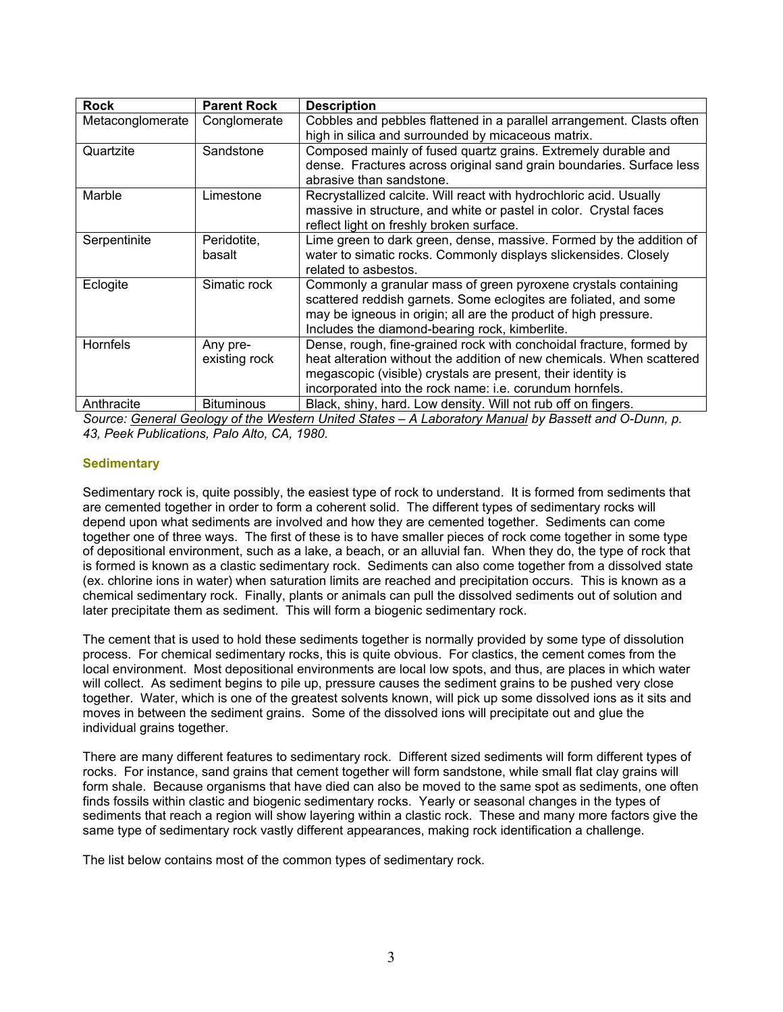| <b>Rock</b>      | <b>Parent Rock</b> | <b>Description</b>                                                    |  |
|------------------|--------------------|-----------------------------------------------------------------------|--|
| Metaconglomerate | Conglomerate       | Cobbles and pebbles flattened in a parallel arrangement. Clasts often |  |
|                  |                    | high in silica and surrounded by micaceous matrix.                    |  |
| Quartzite        | Sandstone          | Composed mainly of fused quartz grains. Extremely durable and         |  |
|                  |                    | dense. Fractures across original sand grain boundaries. Surface less  |  |
|                  |                    | abrasive than sandstone.                                              |  |
| Marble           | Limestone          | Recrystallized calcite. Will react with hydrochloric acid. Usually    |  |
|                  |                    | massive in structure, and white or pastel in color. Crystal faces     |  |
|                  |                    | reflect light on freshly broken surface.                              |  |
| Serpentinite     | Peridotite,        | Lime green to dark green, dense, massive. Formed by the addition of   |  |
|                  | basalt             | water to simatic rocks. Commonly displays slickensides. Closely       |  |
|                  |                    | related to asbestos.                                                  |  |
| Eclogite         | Simatic rock       | Commonly a granular mass of green pyroxene crystals containing        |  |
|                  |                    | scattered reddish garnets. Some eclogites are foliated, and some      |  |
|                  |                    | may be igneous in origin; all are the product of high pressure.       |  |
|                  |                    | Includes the diamond-bearing rock, kimberlite.                        |  |
| Hornfels         | Any pre-           | Dense, rough, fine-grained rock with conchoidal fracture, formed by   |  |
|                  | existing rock      | heat alteration without the addition of new chemicals. When scattered |  |
|                  |                    | megascopic (visible) crystals are present, their identity is          |  |
|                  |                    | incorporated into the rock name: i.e. corundum hornfels.              |  |
| Anthracite       | <b>Bituminous</b>  | Black, shiny, hard. Low density. Will not rub off on fingers.         |  |

*Source: General Geology of the Western United States – A Laboratory Manual by Bassett and O-Dunn, p. 43, Peek Publications, Palo Alto, CA, 1980.* 

# **Sedimentary**

Sedimentary rock is, quite possibly, the easiest type of rock to understand. It is formed from sediments that are cemented together in order to form a coherent solid. The different types of sedimentary rocks will depend upon what sediments are involved and how they are cemented together. Sediments can come together one of three ways. The first of these is to have smaller pieces of rock come together in some type of depositional environment, such as a lake, a beach, or an alluvial fan. When they do, the type of rock that is formed is known as a clastic sedimentary rock. Sediments can also come together from a dissolved state (ex. chlorine ions in water) when saturation limits are reached and precipitation occurs. This is known as a chemical sedimentary rock. Finally, plants or animals can pull the dissolved sediments out of solution and later precipitate them as sediment. This will form a biogenic sedimentary rock.

The cement that is used to hold these sediments together is normally provided by some type of dissolution process. For chemical sedimentary rocks, this is quite obvious. For clastics, the cement comes from the local environment. Most depositional environments are local low spots, and thus, are places in which water will collect. As sediment begins to pile up, pressure causes the sediment grains to be pushed very close together. Water, which is one of the greatest solvents known, will pick up some dissolved ions as it sits and moves in between the sediment grains. Some of the dissolved ions will precipitate out and glue the individual grains together.

There are many different features to sedimentary rock. Different sized sediments will form different types of rocks. For instance, sand grains that cement together will form sandstone, while small flat clay grains will form shale. Because organisms that have died can also be moved to the same spot as sediments, one often finds fossils within clastic and biogenic sedimentary rocks. Yearly or seasonal changes in the types of sediments that reach a region will show layering within a clastic rock. These and many more factors give the same type of sedimentary rock vastly different appearances, making rock identification a challenge.

The list below contains most of the common types of sedimentary rock.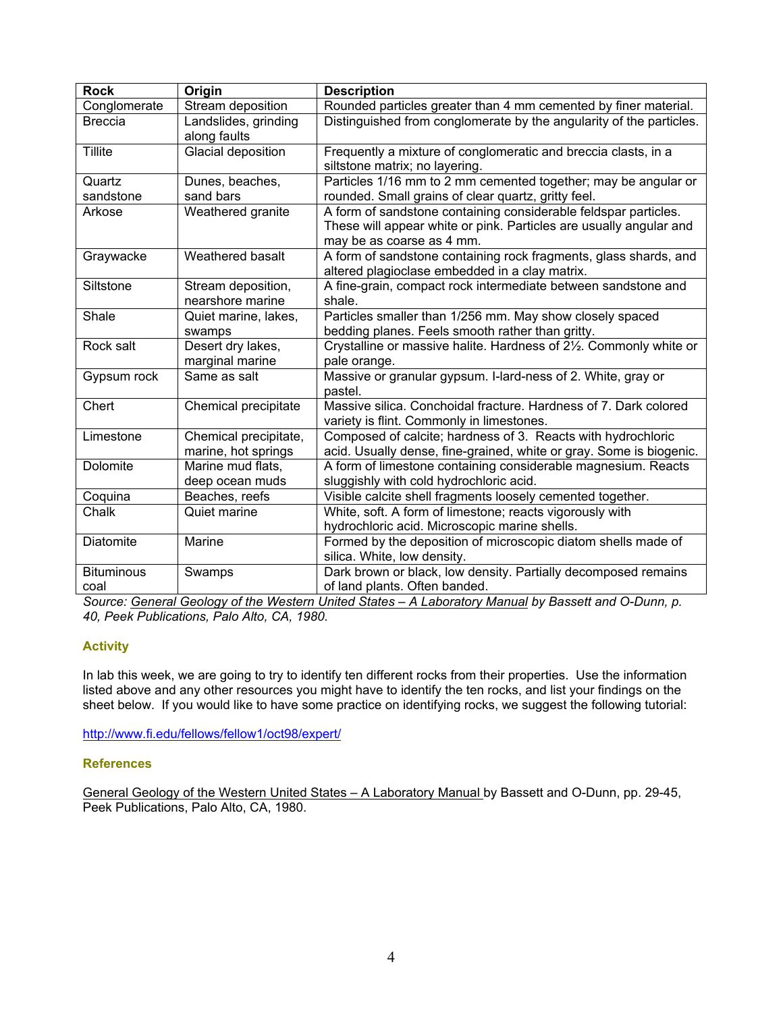| <b>Rock</b>               | Origin                                       | <b>Description</b>                                                                                                                                                 |  |  |
|---------------------------|----------------------------------------------|--------------------------------------------------------------------------------------------------------------------------------------------------------------------|--|--|
| Conglomerate              | Stream deposition                            | Rounded particles greater than 4 mm cemented by finer material.                                                                                                    |  |  |
| <b>Breccia</b>            | Landslides, grinding<br>along faults         | Distinguished from conglomerate by the angularity of the particles.                                                                                                |  |  |
| Tillite                   | Glacial deposition                           | Frequently a mixture of conglomeratic and breccia clasts, in a<br>siltstone matrix; no layering.                                                                   |  |  |
| Quartz                    | Dunes, beaches,                              | Particles 1/16 mm to 2 mm cemented together; may be angular or                                                                                                     |  |  |
| sandstone                 | sand bars                                    | rounded. Small grains of clear quartz, gritty feel.                                                                                                                |  |  |
| Arkose                    | Weathered granite                            | A form of sandstone containing considerable feldspar particles.<br>These will appear white or pink. Particles are usually angular and<br>may be as coarse as 4 mm. |  |  |
| Graywacke                 | Weathered basalt                             | A form of sandstone containing rock fragments, glass shards, and<br>altered plagioclase embedded in a clay matrix.                                                 |  |  |
| Siltstone                 | Stream deposition,<br>nearshore marine       | A fine-grain, compact rock intermediate between sandstone and<br>shale.                                                                                            |  |  |
| Shale                     | Quiet marine, lakes,<br>swamps               | Particles smaller than 1/256 mm. May show closely spaced<br>bedding planes. Feels smooth rather than gritty.                                                       |  |  |
| Rock salt                 | Desert dry lakes,<br>marginal marine         | Crystalline or massive halite. Hardness of 21/2. Commonly white or<br>pale orange.                                                                                 |  |  |
| Gypsum rock               | Same as salt                                 | Massive or granular gypsum. I-lard-ness of 2. White, gray or<br>pastel.                                                                                            |  |  |
| Chert                     | Chemical precipitate                         | Massive silica. Conchoidal fracture. Hardness of 7. Dark colored<br>variety is flint. Commonly in limestones.                                                      |  |  |
| Limestone                 | Chemical precipitate,<br>marine, hot springs | Composed of calcite; hardness of 3. Reacts with hydrochloric<br>acid. Usually dense, fine-grained, white or gray. Some is biogenic.                                |  |  |
| Dolomite                  | Marine mud flats,<br>deep ocean muds         | A form of limestone containing considerable magnesium. Reacts<br>sluggishly with cold hydrochloric acid.                                                           |  |  |
| Coquina                   | Beaches, reefs                               | Visible calcite shell fragments loosely cemented together.                                                                                                         |  |  |
| Chalk                     | Quiet marine                                 | White, soft. A form of limestone; reacts vigorously with<br>hydrochloric acid. Microscopic marine shells.                                                          |  |  |
| Diatomite                 | Marine                                       | Formed by the deposition of microscopic diatom shells made of<br>silica. White, low density.                                                                       |  |  |
| <b>Bituminous</b><br>coal | Swamps                                       | Dark brown or black, low density. Partially decomposed remains<br>of land plants. Often banded.                                                                    |  |  |

*Source: General Geology of the Western United States – A Laboratory Manual by Bassett and O-Dunn, p. 40, Peek Publications, Palo Alto, CA, 1980.*

# **Activity**

In lab this week, we are going to try to identify ten different rocks from their properties. Use the information listed above and any other resources you might have to identify the ten rocks, and list your findings on the sheet below. If you would like to have some practice on identifying rocks, we suggest the following tutorial:

<http://www.fi.edu/fellows/fellow1/oct98/expert/>

#### **References**

General Geology of the Western United States – A Laboratory Manual by Bassett and O-Dunn, pp. 29-45, Peek Publications, Palo Alto, CA, 1980.